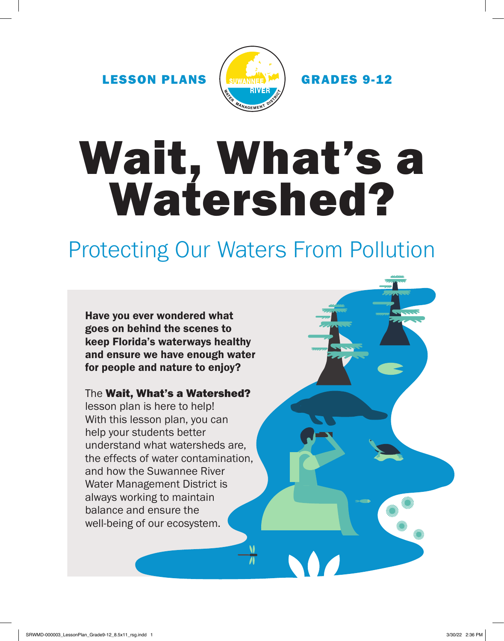LESSON PLANS (SUWANNE)<sup>M</sup> GRADES 9-12



# Wait, What's a Watershed?

# Protecting Our Waters From Pollution

Have you ever wondered what goes on behind the scenes to keep Florida's waterways healthy and ensure we have enough water for people and nature to enjoy?

The Wait, What's a Watershed?

lesson plan is here to help! With this lesson plan, you can help your students better understand what watersheds are, the effects of water contamination, and how the Suwannee River Water Management District is always working to maintain balance and ensure the well-being of our ecosystem.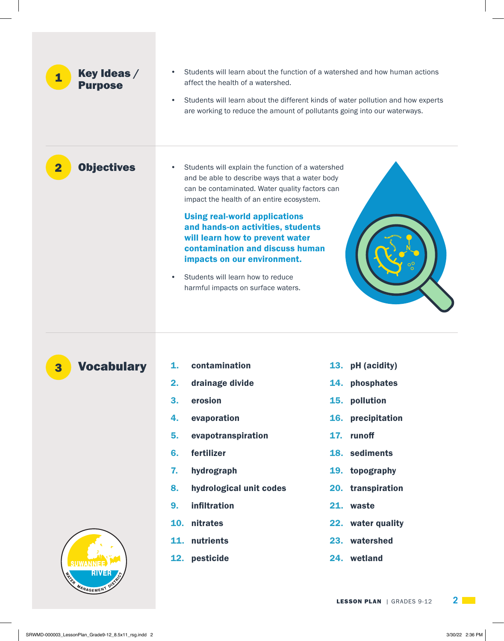| Key Ideas /<br>$\mathbf{1}$<br><b>Purpose</b>    | $\bullet$<br>affect the health of a watershed.<br>$\bullet$                                                                                                                                                                                                                                                                                                                                                                                                                               | Students will learn about the function of a watershed and how human actions<br>Students will learn about the different kinds of water pollution and how experts<br>are working to reduce the amount of pollutants going into our waterways. |
|--------------------------------------------------|-------------------------------------------------------------------------------------------------------------------------------------------------------------------------------------------------------------------------------------------------------------------------------------------------------------------------------------------------------------------------------------------------------------------------------------------------------------------------------------------|---------------------------------------------------------------------------------------------------------------------------------------------------------------------------------------------------------------------------------------------|
| <b>Objectives</b><br>$\overline{\mathbf{2}}$     | Students will explain the function of a watershed<br>$\bullet$<br>and be able to describe ways that a water body<br>can be contaminated. Water quality factors can<br>impact the health of an entire ecosystem.<br><b>Using real-world applications</b><br>and hands-on activities, students<br>will learn how to prevent water<br>contamination and discuss human<br>impacts on our environment.<br>Students will learn how to reduce<br>$\bullet$<br>harmful impacts on surface waters. |                                                                                                                                                                                                                                             |
| <b>Vocabulary</b><br>3<br><b>ENGA MANAGEMENT</b> | contamination<br>1.<br>2.<br>drainage divide<br>3.<br>erosion<br>evaporation<br>4.<br>5.<br>evapotranspiration<br>fertilizer<br>6.<br>7.<br>hydrograph<br>hydrological unit codes<br>8.<br>infiltration<br>9.<br>10. nitrates<br>11. nutrients<br>12. pesticide                                                                                                                                                                                                                           | 13. pH (acidity)<br>14. phosphates<br>15. pollution<br>16. precipitation<br>17. runoff<br>18. sediments<br>19. topography<br>20. transpiration<br>21. waste<br>22. water quality<br>23. watershed<br>24. wetland                            |

**LESSON PLAN** | GRADES 9-12 **2 2**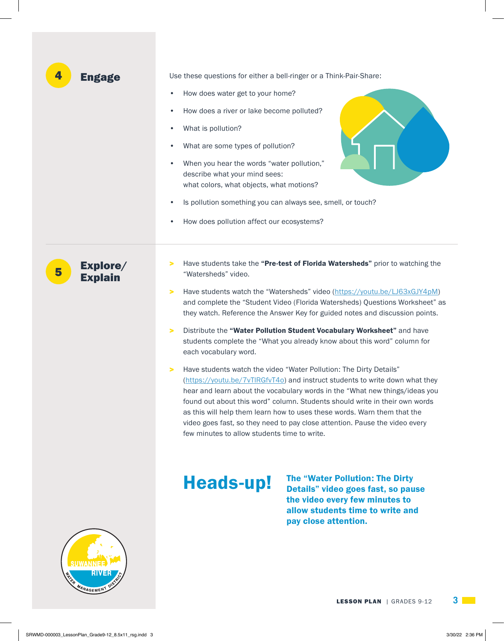| 4<br><b>Engage</b>              | Use these questions for either a bell-ringer or a Think-Pair-Share:<br>How does water get to your home?<br>$\bullet$<br>How does a river or lake become polluted?<br>$\bullet$<br>What is pollution?<br>٠<br>What are some types of pollution?<br>$\bullet$<br>When you hear the words "water pollution,"<br>$\bullet$<br>describe what your mind sees:<br>what colors, what objects, what motions?<br>Is pollution something you can always see, smell, or touch?<br>$\bullet$<br>How does pollution affect our ecosystems?<br>$\bullet$                                                                                                                                                                                                                                                                                                                                                                                                                                                                                                                                           |
|---------------------------------|-------------------------------------------------------------------------------------------------------------------------------------------------------------------------------------------------------------------------------------------------------------------------------------------------------------------------------------------------------------------------------------------------------------------------------------------------------------------------------------------------------------------------------------------------------------------------------------------------------------------------------------------------------------------------------------------------------------------------------------------------------------------------------------------------------------------------------------------------------------------------------------------------------------------------------------------------------------------------------------------------------------------------------------------------------------------------------------|
| Explore/<br>5<br><b>Explain</b> | Have students take the "Pre-test of Florida Watersheds" prior to watching the<br>><br>"Watersheds" video.<br>Have students watch the "Watersheds" video (https://youtu.be/LJ63xGJY4pM)<br>><br>and complete the "Student Video (Florida Watersheds) Questions Worksheet" as<br>they watch. Reference the Answer Key for guided notes and discussion points.<br>Distribute the "Water Pollution Student Vocabulary Worksheet" and have<br>⋗<br>students complete the "What you already know about this word" column for<br>each vocabulary word.<br>Have students watch the video "Water Pollution: The Dirty Details"<br>⋗<br>(https://youtu.be/7vTIRGfvT4o) and instruct students to write down what they<br>hear and learn about the vocabulary words in the "What new things/ideas you<br>found out about this word" column. Students should write in their own words<br>as this will help them learn how to uses these words. Warn them that the<br>video goes fast, so they need to pay close attention. Pause the video every<br>few minutes to allow students time to write. |
| MANAGEMENT                      | <b>The "Water Pollution: The Dirty</b><br><b>Heads-up!</b><br>Details" video goes fast, so pause<br>the video every few minutes to<br>allow students time to write and<br>pay close attention.                                                                                                                                                                                                                                                                                                                                                                                                                                                                                                                                                                                                                                                                                                                                                                                                                                                                                      |

**LESSON PLAN** | GRADES 9-12 **3**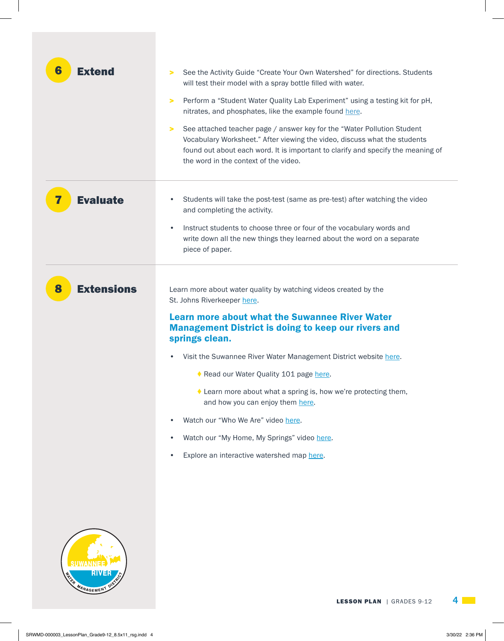| <b>Extend</b><br>6          | See the Activity Guide "Create Your Own Watershed" for directions. Students<br>⋗<br>will test their model with a spray bottle filled with water.<br>Perform a "Student Water Quality Lab Experiment" using a testing kit for pH,<br>⋗<br>nitrates, and phosphates, like the example found here.<br>See attached teacher page / answer key for the "Water Pollution Student"<br>⋗<br>Vocabulary Worksheet." After viewing the video, discuss what the students<br>found out about each word. It is important to clarify and specify the meaning of<br>the word in the context of the video.                                        |  |
|-----------------------------|-----------------------------------------------------------------------------------------------------------------------------------------------------------------------------------------------------------------------------------------------------------------------------------------------------------------------------------------------------------------------------------------------------------------------------------------------------------------------------------------------------------------------------------------------------------------------------------------------------------------------------------|--|
| 7<br><b>Evaluate</b>        | Students will take the post-test (same as pre-test) after watching the video<br>٠<br>and completing the activity.<br>Instruct students to choose three or four of the vocabulary words and<br>$\bullet$<br>write down all the new things they learned about the word on a separate<br>piece of paper.                                                                                                                                                                                                                                                                                                                             |  |
| <b>Extensions</b><br>8      | Learn more about water quality by watching videos created by the<br>St. Johns Riverkeeper here.<br><b>Learn more about what the Suwannee River Water</b><br><b>Management District is doing to keep our rivers and</b><br>springs clean.<br>Visit the Suwannee River Water Management District website here.<br>٠<br>Read our Water Quality 101 page here.<br>$\blacklozenge$ Learn more about what a spring is, how we're protecting them,<br>and how you can enjoy them here.<br>Watch our "Who We Are" video here.<br>٠<br>Watch our "My Home, My Springs" video here.<br>٠<br>Explore an interactive watershed map here.<br>٠ |  |
| <b>MATRIC</b><br>MANAGEMENT | <b>LESSON PLAN</b>   GRADES 9-12                                                                                                                                                                                                                                                                                                                                                                                                                                                                                                                                                                                                  |  |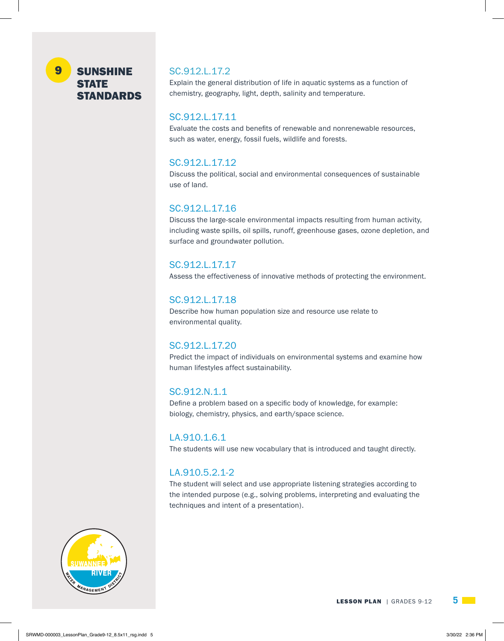#### SUNSHINE STATE STANDARDS 9

### SC.912.L.17.2

Explain the general distribution of life in aquatic systems as a function of chemistry, geography, light, depth, salinity and temperature.

## SC.912.L.17.11

Evaluate the costs and benefits of renewable and nonrenewable resources, such as water, energy, fossil fuels, wildlife and forests.

## SC.912.L.17.12

Discuss the political, social and environmental consequences of sustainable use of land.

## SC.912.L.17.16

Discuss the large-scale environmental impacts resulting from human activity, including waste spills, oil spills, runoff, greenhouse gases, ozone depletion, and surface and groundwater pollution.

## SC.912.L.17.17

Assess the effectiveness of innovative methods of protecting the environment.

## SC.912.L.17.18

Describe how human population size and resource use relate to environmental quality.

## SC.912.L.17.20

Predict the impact of individuals on environmental systems and examine how human lifestyles affect sustainability.

## SC.912.N.1.1

Define a problem based on a specific body of knowledge, for example: biology, chemistry, physics, and earth/space science.

## LA.910.1.6.1

The students will use new vocabulary that is introduced and taught directly.

# LA.910.5.2.1-2

The student will select and use appropriate listening strategies according to the intended purpose (e.g., solving problems, interpreting and evaluating the techniques and intent of a presentation).

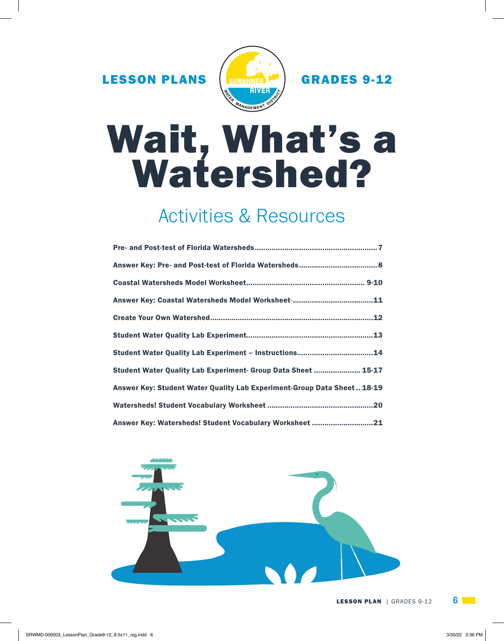LESSON PLANS (SUWANNE)<sup>M</sup> GRADES 9-12



# Wait, What's a Watershed?

# Activities & Resources

| Student Water Quality Lab Experiment- Group Data Sheet  15-17            |
|--------------------------------------------------------------------------|
| Answer Key: Student Water Quality Lab Experiment-Group Data Sheet  18-19 |
|                                                                          |
| Answer Key: Watersheds! Student Vocabulary Worksheet 21                  |

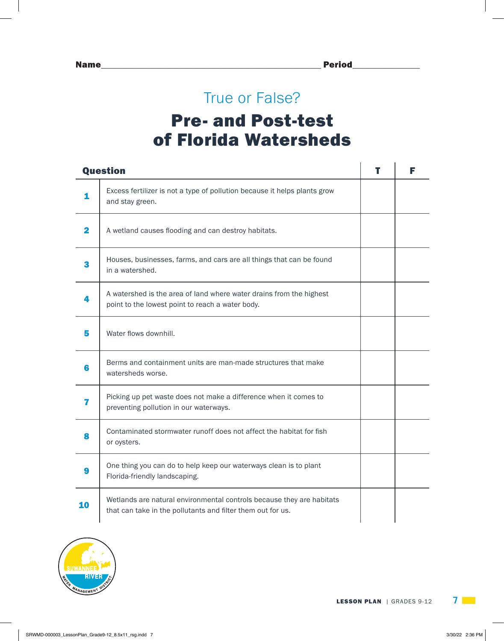# True or False? Pre- and Post-test of Florida Watersheds

|    | <b>Question</b>                                                                                                                      | т | F |
|----|--------------------------------------------------------------------------------------------------------------------------------------|---|---|
| 1  | Excess fertilizer is not a type of pollution because it helps plants grow<br>and stay green.                                         |   |   |
| 2  | A wetland causes flooding and can destroy habitats.                                                                                  |   |   |
| 3  | Houses, businesses, farms, and cars are all things that can be found<br>in a watershed.                                              |   |   |
|    | A watershed is the area of land where water drains from the highest<br>point to the lowest point to reach a water body.              |   |   |
| 5  | Water flows downhill.                                                                                                                |   |   |
| 6  | Berms and containment units are man-made structures that make<br>watersheds worse.                                                   |   |   |
| 7  | Picking up pet waste does not make a difference when it comes to<br>preventing pollution in our waterways.                           |   |   |
|    | Contaminated stormwater runoff does not affect the habitat for fish<br>or oysters.                                                   |   |   |
|    | One thing you can do to help keep our waterways clean is to plant<br>Florida-friendly landscaping.                                   |   |   |
| 10 | Wetlands are natural environmental controls because they are habitats<br>that can take in the pollutants and filter them out for us. |   |   |

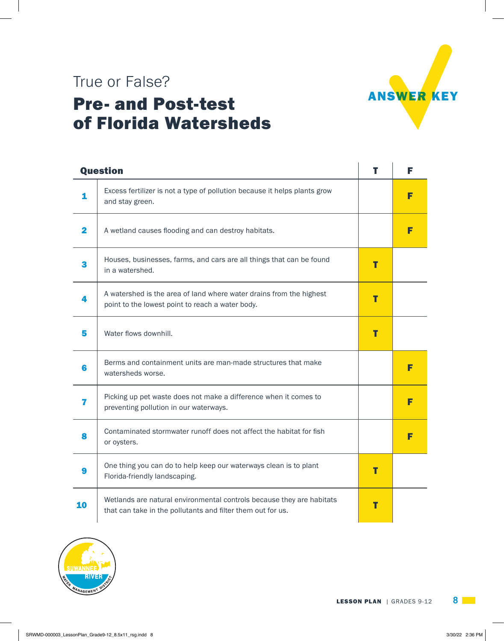

# True or False? Pre- and Post-test of Florida Watersheds

| <b>Question</b> |                                                                                                                                      | т | F |
|-----------------|--------------------------------------------------------------------------------------------------------------------------------------|---|---|
| 1               | Excess fertilizer is not a type of pollution because it helps plants grow<br>and stay green.                                         |   | F |
| 2               | A wetland causes flooding and can destroy habitats.                                                                                  |   |   |
| 3               | Houses, businesses, farms, and cars are all things that can be found<br>in a watershed.                                              | т |   |
|                 | A watershed is the area of land where water drains from the highest<br>point to the lowest point to reach a water body.              | т |   |
| 5               | Water flows downhill.                                                                                                                | T |   |
| 6               | Berms and containment units are man-made structures that make<br>watersheds worse.                                                   |   | F |
| 7               | Picking up pet waste does not make a difference when it comes to<br>preventing pollution in our waterways.                           |   |   |
| 8               | Contaminated stormwater runoff does not affect the habitat for fish<br>or oysters.                                                   |   |   |
| 9               | One thing you can do to help keep our waterways clean is to plant<br>Florida-friendly landscaping.                                   | Т |   |
| 10              | Wetlands are natural environmental controls because they are habitats<br>that can take in the pollutants and filter them out for us. | т |   |

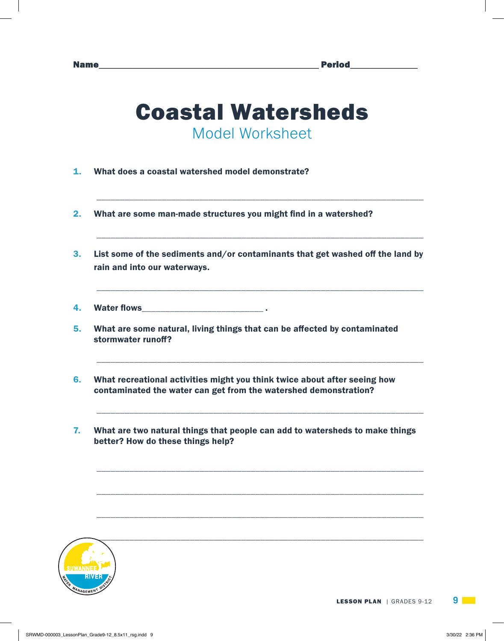# Coastal Watersheds Model Worksheet

\_\_\_\_\_\_\_\_\_\_\_\_\_\_\_\_\_\_\_\_\_\_\_\_\_\_\_\_\_\_\_\_\_\_\_\_\_\_\_\_\_\_\_\_\_\_\_\_\_\_\_\_\_\_\_\_\_\_\_\_\_\_\_\_\_\_\_\_\_\_

\_\_\_\_\_\_\_\_\_\_\_\_\_\_\_\_\_\_\_\_\_\_\_\_\_\_\_\_\_\_\_\_\_\_\_\_\_\_\_\_\_\_\_\_\_\_\_\_\_\_\_\_\_\_\_\_\_\_\_\_\_\_\_\_\_\_\_\_\_\_

\_\_\_\_\_\_\_\_\_\_\_\_\_\_\_\_\_\_\_\_\_\_\_\_\_\_\_\_\_\_\_\_\_\_\_\_\_\_\_\_\_\_\_\_\_\_\_\_\_\_\_\_\_\_\_\_\_\_\_\_\_\_\_\_\_\_\_\_\_\_

\_\_\_\_\_\_\_\_\_\_\_\_\_\_\_\_\_\_\_\_\_\_\_\_\_\_\_\_\_\_\_\_\_\_\_\_\_\_\_\_\_\_\_\_\_\_\_\_\_\_\_\_\_\_\_\_\_\_\_\_\_\_\_\_\_\_\_\_\_\_

\_\_\_\_\_\_\_\_\_\_\_\_\_\_\_\_\_\_\_\_\_\_\_\_\_\_\_\_\_\_\_\_\_\_\_\_\_\_\_\_\_\_\_\_\_\_\_\_\_\_\_\_\_\_\_\_\_\_\_\_\_\_\_\_\_\_\_\_\_\_

\_\_\_\_\_\_\_\_\_\_\_\_\_\_\_\_\_\_\_\_\_\_\_\_\_\_\_\_\_\_\_\_\_\_\_\_\_\_\_\_\_\_\_\_\_\_\_\_\_\_\_\_\_\_\_\_\_\_\_\_\_\_\_\_\_\_\_\_\_\_

\_\_\_\_\_\_\_\_\_\_\_\_\_\_\_\_\_\_\_\_\_\_\_\_\_\_\_\_\_\_\_\_\_\_\_\_\_\_\_\_\_\_\_\_\_\_\_\_\_\_\_\_\_\_\_\_\_\_\_\_\_\_\_\_\_\_\_\_\_\_

\_\_\_\_\_\_\_\_\_\_\_\_\_\_\_\_\_\_\_\_\_\_\_\_\_\_\_\_\_\_\_\_\_\_\_\_\_\_\_\_\_\_\_\_\_\_\_\_\_\_\_\_\_\_\_\_\_\_\_\_\_\_\_\_\_\_\_\_\_\_

- 1. What does a coastal watershed model demonstrate?
- 2. What are some man-made structures you might find in a watershed?
- 3. List some of the sediments and/or contaminants that get washed off the land by rain and into our waterways.
- 4. Water flows\_\_\_\_\_\_\_\_\_\_\_\_\_\_\_\_\_\_\_\_\_\_\_\_\_\_ .
- 5. What are some natural, living things that can be affected by contaminated stormwater runoff?
- 6. What recreational activities might you think twice about after seeing how contaminated the water can get from the watershed demonstration?
- 7. What are two natural things that people can add to watersheds to make things better? How do these things help?

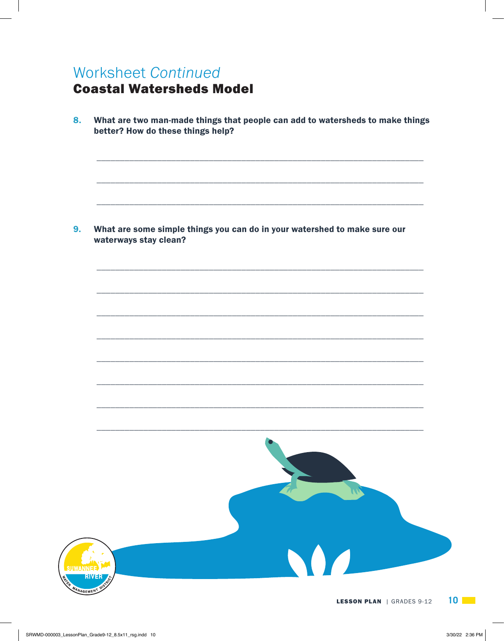# **Worksheet Continued**

# **Coastal Watersheds Model**

8. What are two man-made things that people can add to watersheds to make things better? How do these things help?

9. What are some simple things you can do in your watershed to make sure our waterways stay clean?

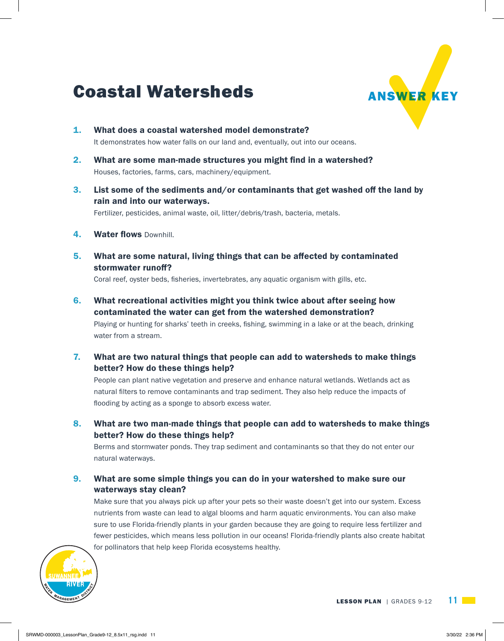# Coastal Watersheds ANSWER KEY



- 1. What does a coastal watershed model demonstrate? It demonstrates how water falls on our land and, eventually, out into our oceans.
- 2. What are some man-made structures you might find in a watershed? Houses, factories, farms, cars, machinery/equipment.
- 3. List some of the sediments and/or contaminants that get washed off the land by rain and into our waterways.

Fertilizer, pesticides, animal waste, oil, litter/debris/trash, bacteria, metals.

- 4. Water flows Downhill.
- 5. What are some natural, living things that can be affected by contaminated stormwater runoff?

Coral reef, oyster beds, fisheries, invertebrates, any aquatic organism with gills, etc.

6. What recreational activities might you think twice about after seeing how contaminated the water can get from the watershed demonstration?

Playing or hunting for sharks' teeth in creeks, fishing, swimming in a lake or at the beach, drinking water from a stream.

7. What are two natural things that people can add to watersheds to make things better? How do these things help?

People can plant native vegetation and preserve and enhance natural wetlands. Wetlands act as natural filters to remove contaminants and trap sediment. They also help reduce the impacts of flooding by acting as a sponge to absorb excess water.

8. What are two man-made things that people can add to watersheds to make things better? How do these things help?

Berms and stormwater ponds. They trap sediment and contaminants so that they do not enter our natural waterways.

9. What are some simple things you can do in your watershed to make sure our waterways stay clean?

Make sure that you always pick up after your pets so their waste doesn't get into our system. Excess nutrients from waste can lead to algal blooms and harm aquatic environments. You can also make sure to use Florida-friendly plants in your garden because they are going to require less fertilizer and fewer pesticides, which means less pollution in our oceans! Florida-friendly plants also create habitat for pollinators that help keep Florida ecosystems healthy.

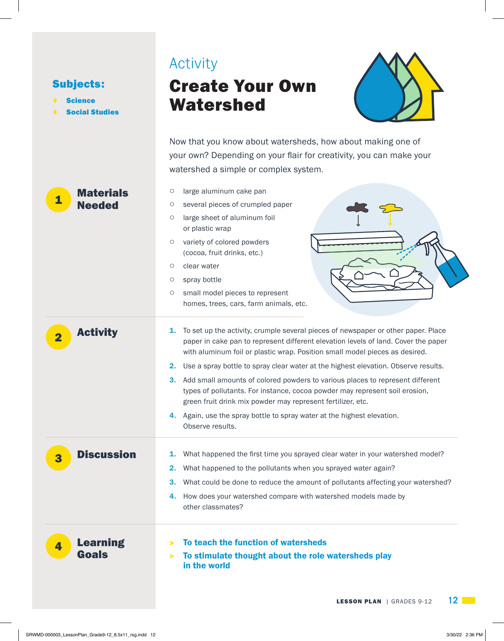| <b>Subjects:</b><br><b>Science</b><br><b>Social Studies</b> | Activity<br><b>Create Your Own</b><br>Watershed                                                                                                                                                                                                                                                                                                                                                                                                                                                                                                                                                                                                                                                 |
|-------------------------------------------------------------|-------------------------------------------------------------------------------------------------------------------------------------------------------------------------------------------------------------------------------------------------------------------------------------------------------------------------------------------------------------------------------------------------------------------------------------------------------------------------------------------------------------------------------------------------------------------------------------------------------------------------------------------------------------------------------------------------|
|                                                             | Now that you know about watersheds, how about making one of<br>your own? Depending on your flair for creativity, you can make your<br>watershed a simple or complex system.                                                                                                                                                                                                                                                                                                                                                                                                                                                                                                                     |
| <b>Materials</b><br>1<br><b>Needed</b>                      | large aluminum cake pan<br>$\circ$<br>several pieces of crumpled paper<br>$\circ$<br>large sheet of aluminum foil<br>O<br>or plastic wrap<br>variety of colored powders<br>O<br>(cocoa, fruit drinks, etc.)<br>clear water<br>O<br>spray bottle<br>$\circ$<br>small model pieces to represent<br>$\circ$<br>homes, trees, cars, farm animals, etc.                                                                                                                                                                                                                                                                                                                                              |
| <b>Activity</b><br>$\overline{\mathbf{2}}$                  | To set up the activity, crumple several pieces of newspaper or other paper. Place<br>1.<br>paper in cake pan to represent different elevation levels of land. Cover the paper<br>with aluminum foil or plastic wrap. Position small model pieces as desired.<br>Use a spray bottle to spray clear water at the highest elevation. Observe results.<br>2.<br>Add small amounts of colored powders to various places to represent different<br>3.<br>types of pollutants. For instance, cocoa powder may represent soil erosion,<br>green fruit drink mix powder may represent fertilizer, etc.<br>Again, use the spray bottle to spray water at the highest elevation.<br>4.<br>Observe results. |
| <b>Discussion</b><br>3                                      | What happened the first time you sprayed clear water in your watershed model?<br>1.<br>What happened to the pollutants when you sprayed water again?<br>2.<br>What could be done to reduce the amount of pollutants affecting your watershed?<br>З.<br>How does your watershed compare with watershed models made by<br>4.<br>other classmates?                                                                                                                                                                                                                                                                                                                                                 |
| <b>Learning</b><br>4<br><b>Goals</b>                        | To teach the function of watersheds<br>><br>To stimulate thought about the role watersheds play<br>><br>in the world<br>$12 \Box$<br><b>LESSON PLAN</b>   GRADES 9-12                                                                                                                                                                                                                                                                                                                                                                                                                                                                                                                           |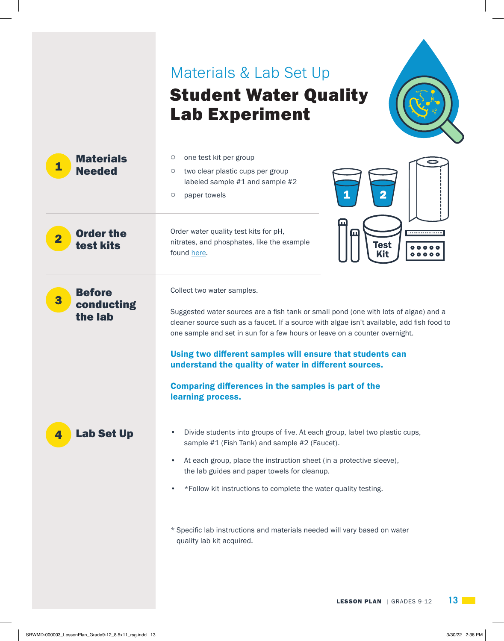# Materials & Lab Set Up Student Water Quality Lab Experiment



| <b>Materials</b><br>1<br><b>Needed</b>                   | one test kit per group<br>O<br>two clear plastic cups per group<br>O<br>labeled sample #1 and sample #2<br>1<br>$\overline{\mathbf{2}}$<br>paper towels<br>$\circ$                                                                                                                                                                                                                                                                                                                                     |
|----------------------------------------------------------|--------------------------------------------------------------------------------------------------------------------------------------------------------------------------------------------------------------------------------------------------------------------------------------------------------------------------------------------------------------------------------------------------------------------------------------------------------------------------------------------------------|
| <b>Order the</b><br>$\overline{\mathbf{2}}$<br>test kits | щ<br>Order water quality test kits for pH,<br>m<br><del>.</del><br>nitrates, and phosphates, like the example<br>Test<br>found here.<br>Kit                                                                                                                                                                                                                                                                                                                                                            |
| <b>Before</b><br>3<br>conducting<br>the lab              | Collect two water samples.<br>Suggested water sources are a fish tank or small pond (one with lots of algae) and a<br>cleaner source such as a faucet. If a source with algae isn't available, add fish food to<br>one sample and set in sun for a few hours or leave on a counter overnight.<br>Using two different samples will ensure that students can<br>understand the quality of water in different sources.<br><b>Comparing differences in the samples is part of the</b><br>learning process. |
| <b>Lab Set Up</b><br>4                                   | Divide students into groups of five. At each group, label two plastic cups,<br>$\bullet$<br>sample #1 (Fish Tank) and sample #2 (Faucet).<br>At each group, place the instruction sheet (in a protective sleeve),<br>$\bullet$<br>the lab guides and paper towels for cleanup.<br>*Follow kit instructions to complete the water quality testing.<br>* Specific lab instructions and materials needed will vary based on water<br>quality lab kit acquired.                                            |
|                                                          | 13<br><b>LESSON PLAN</b>   GRADES 9-12                                                                                                                                                                                                                                                                                                                                                                                                                                                                 |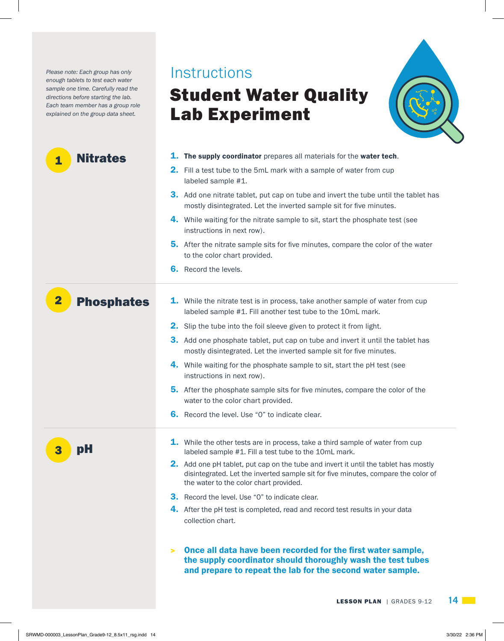*Please note: Each group has only* **INSTRUCTIONS** *enough tablets to test each water sample one time. Carefully read the directions before starting the lab. Each team member has a group role explained on the group data sheet.*

# 1. The supply coordinator prepares all materials for the water tech. **2.** Fill a test tube to the 5mL mark with a sample of water from cup labeled sample #1. **3.** Add one nitrate tablet, put cap on tube and invert the tube until the tablet has mostly disintegrated. Let the inverted sample sit for five minutes. 4. While waiting for the nitrate sample to sit, start the phosphate test (see instructions in next row). **5.** After the nitrate sample sits for five minutes, compare the color of the water to the color chart provided. **6.** Record the levels. **1.** While the nitrate test is in process, take another sample of water from cup labeled sample #1. Fill another test tube to the 10mL mark. 2. Slip the tube into the foil sleeve given to protect it from light. **3.** Add one phosphate tablet, put cap on tube and invert it until the tablet has mostly disintegrated. Let the inverted sample sit for five minutes. 4. While waiting for the phosphate sample to sit, start the pH test (see instructions in next row). **5.** After the phosphate sample sits for five minutes, compare the color of the water to the color chart provided. **6.** Record the level. Use "0" to indicate clear. **1.** While the other tests are in process, take a third sample of water from cup labeled sample #1. Fill a test tube to the 10mL mark. **2.** Add one pH tablet, put cap on the tube and invert it until the tablet has mostly disintegrated. Let the inverted sample sit for five minutes, compare the color of the water to the color chart provided. **3.** Record the level. Use "0" to indicate clear. 4. After the pH test is completed, read and record test results in your data collection chart. Nitrates Phosphates pH > Once all data have been recorded for the first water sample, the supply coordinator should thoroughly wash the test tubes and prepare to repeat the lab for the second water sample. 1 2 3

Student Water Quality

Lab Experiment

**LESSON PLAN** | GRADES 9-12 **14**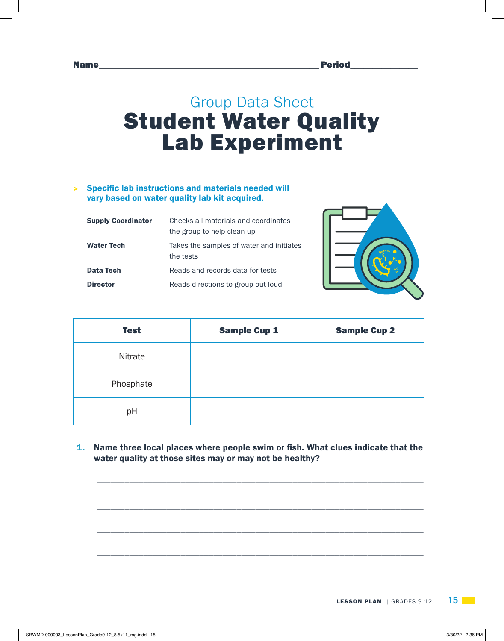# Group Data Sheet Student Water Quality Lab Experiment

### > Specific lab instructions and materials needed will vary based on water quality lab kit acquired.

| <b>Supply Coordinator</b> | Checks all materials and coordinates     |
|---------------------------|------------------------------------------|
|                           | the group to help clean up               |
| <b>Water Tech</b>         | Takes the samples of water and initiates |
|                           | the tests                                |
| Data Tech                 | Reads and records data for tests         |
| <b>Director</b>           | Reads directions to group out loud       |



| <b>Test</b> | <b>Sample Cup 1</b> | <b>Sample Cup 2</b> |
|-------------|---------------------|---------------------|
| Nitrate     |                     |                     |
| Phosphate   |                     |                     |
| pH          |                     |                     |

1. Name three local places where people swim or fish. What clues indicate that the water quality at those sites may or may not be healthy?

\_\_\_\_\_\_\_\_\_\_\_\_\_\_\_\_\_\_\_\_\_\_\_\_\_\_\_\_\_\_\_\_\_\_\_\_\_\_\_\_\_\_\_\_\_\_\_\_\_\_\_\_\_\_\_\_\_\_\_\_\_\_\_\_\_\_\_\_\_\_

\_\_\_\_\_\_\_\_\_\_\_\_\_\_\_\_\_\_\_\_\_\_\_\_\_\_\_\_\_\_\_\_\_\_\_\_\_\_\_\_\_\_\_\_\_\_\_\_\_\_\_\_\_\_\_\_\_\_\_\_\_\_\_\_\_\_\_\_\_\_

\_\_\_\_\_\_\_\_\_\_\_\_\_\_\_\_\_\_\_\_\_\_\_\_\_\_\_\_\_\_\_\_\_\_\_\_\_\_\_\_\_\_\_\_\_\_\_\_\_\_\_\_\_\_\_\_\_\_\_\_\_\_\_\_\_\_\_\_\_\_

\_\_\_\_\_\_\_\_\_\_\_\_\_\_\_\_\_\_\_\_\_\_\_\_\_\_\_\_\_\_\_\_\_\_\_\_\_\_\_\_\_\_\_\_\_\_\_\_\_\_\_\_\_\_\_\_\_\_\_\_\_\_\_\_\_\_\_\_\_\_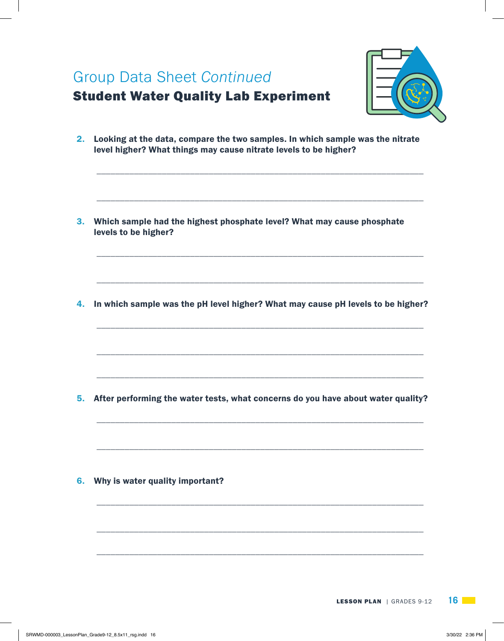| <b>Group Data Sheet Continued</b><br><b>Student Water Quality Lab Experiment</b>                                                                  |
|---------------------------------------------------------------------------------------------------------------------------------------------------|
| Looking at the data, compare the two samples. In which sample was the nitrate<br>level higher? What things may cause nitrate levels to be higher? |
| Which sample had the highest phosphate level? What may cause phosphate<br>levels to be higher?                                                    |
| In which sample was the pH level higher? What may cause pH levels to be higher?                                                                   |
| After performing the water tests, what concerns do you have about water quality?                                                                  |
| Why is water quality important?                                                                                                                   |
|                                                                                                                                                   |

 $\mathbb{R}$ 

 $\overline{\phantom{a}}$ 

 $\mathbf{I}$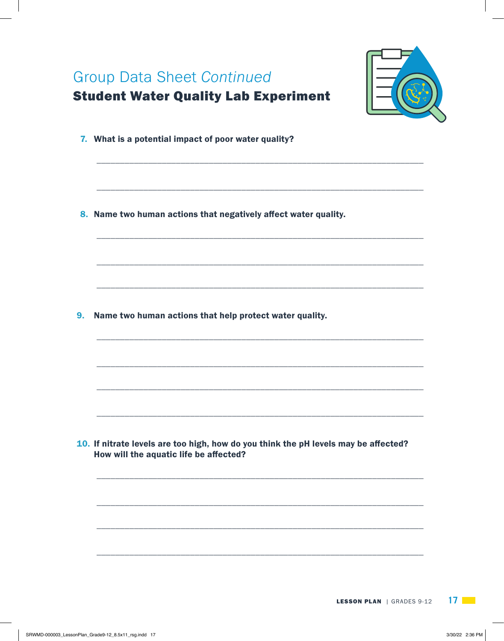|    | <b>Group Data Sheet Continued</b><br><b>Student Water Quality Lab Experiment</b>                                              |
|----|-------------------------------------------------------------------------------------------------------------------------------|
|    | 7. What is a potential impact of poor water quality?                                                                          |
|    | 8. Name two human actions that negatively affect water quality.                                                               |
|    |                                                                                                                               |
| 9. | Name two human actions that help protect water quality.                                                                       |
|    |                                                                                                                               |
|    | 10. If nitrate levels are too high, how do you think the pH levels may be affected?<br>How will the aquatic life be affected? |
|    |                                                                                                                               |
|    |                                                                                                                               |

 $\mathbb{R}$ 

 $\overline{\phantom{a}}$ 

 $\mathbf{I}$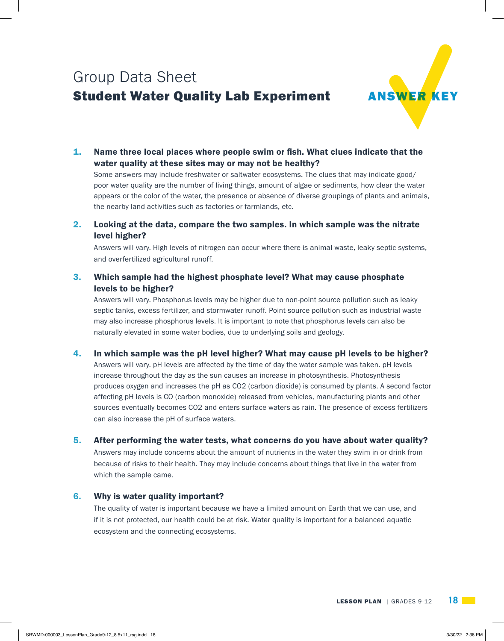# Group Data Sheet Student Water Quality Lab Experiment



1. Name three local places where people swim or fish. What clues indicate that the water quality at these sites may or may not be healthy?

Some answers may include freshwater or saltwater ecosystems. The clues that may indicate good/ poor water quality are the number of living things, amount of algae or sediments, how clear the water appears or the color of the water, the presence or absence of diverse groupings of plants and animals, the nearby land activities such as factories or farmlands, etc.

2. Looking at the data, compare the two samples. In which sample was the nitrate level higher?

Answers will vary. High levels of nitrogen can occur where there is animal waste, leaky septic systems, and overfertilized agricultural runoff.

3. Which sample had the highest phosphate level? What may cause phosphate levels to be higher?

Answers will vary. Phosphorus levels may be higher due to non-point source pollution such as leaky septic tanks, excess fertilizer, and stormwater runoff. Point-source pollution such as industrial waste may also increase phosphorus levels. It is important to note that phosphorus levels can also be naturally elevated in some water bodies, due to underlying soils and geology.

4. In which sample was the pH level higher? What may cause pH levels to be higher?

Answers will vary. pH levels are affected by the time of day the water sample was taken. pH levels increase throughout the day as the sun causes an increase in photosynthesis. Photosynthesis produces oxygen and increases the pH as CO2 (carbon dioxide) is consumed by plants. A second factor affecting pH levels is CO (carbon monoxide) released from vehicles, manufacturing plants and other sources eventually becomes CO2 and enters surface waters as rain. The presence of excess fertilizers can also increase the pH of surface waters.

#### 5. After performing the water tests, what concerns do you have about water quality?

Answers may include concerns about the amount of nutrients in the water they swim in or drink from because of risks to their health. They may include concerns about things that live in the water from which the sample came.

#### 6. Why is water quality important?

The quality of water is important because we have a limited amount on Earth that we can use, and if it is not protected, our health could be at risk. Water quality is important for a balanced aquatic ecosystem and the connecting ecosystems.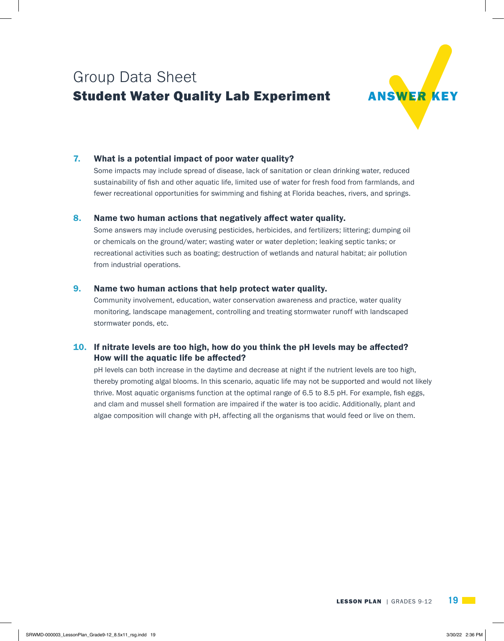# Group Data Sheet **Student Water Quality Lab Experiment**



## 7. What is a potential impact of poor water quality?

Some impacts may include spread of disease, lack of sanitation or clean drinking water, reduced sustainability of fish and other aquatic life, limited use of water for fresh food from farmlands, and fewer recreational opportunities for swimming and fishing at Florida beaches, rivers, and springs.

#### 8. Name two human actions that negatively affect water quality.

Some answers may include overusing pesticides, herbicides, and fertilizers; littering; dumping oil or chemicals on the ground/water; wasting water or water depletion; leaking septic tanks; or recreational activities such as boating; destruction of wetlands and natural habitat; air pollution from industrial operations.

#### 9. Name two human actions that help protect water quality.

Community involvement, education, water conservation awareness and practice, water quality monitoring, landscape management, controlling and treating stormwater runoff with landscaped stormwater ponds, etc.

## 10. If nitrate levels are too high, how do you think the  $pH$  levels may be affected? How will the aquatic life be affected?

pH levels can both increase in the daytime and decrease at night if the nutrient levels are too high, thereby promoting algal blooms. In this scenario, aquatic life may not be supported and would not likely thrive. Most aquatic organisms function at the optimal range of 6.5 to 8.5 pH. For example, fish eggs, and clam and mussel shell formation are impaired if the water is too acidic. Additionally, plant and algae composition will change with pH, affecting all the organisms that would feed or live on them.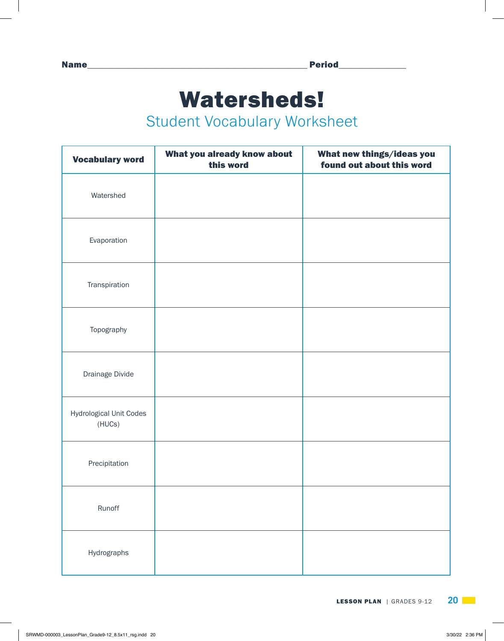# Watersheds!

# Student Vocabulary Worksheet

| <b>Vocabulary word</b>            | What you already know about<br>this word | What new things/ideas you<br>found out about this word |
|-----------------------------------|------------------------------------------|--------------------------------------------------------|
| Watershed                         |                                          |                                                        |
| Evaporation                       |                                          |                                                        |
| Transpiration                     |                                          |                                                        |
| Topography                        |                                          |                                                        |
| Drainage Divide                   |                                          |                                                        |
| Hydrological Unit Codes<br>(HUCs) |                                          |                                                        |
| Precipitation                     |                                          |                                                        |
| Runoff                            |                                          |                                                        |
| Hydrographs                       |                                          |                                                        |

**LESSON PLAN** | GRADES 9-12 **20**